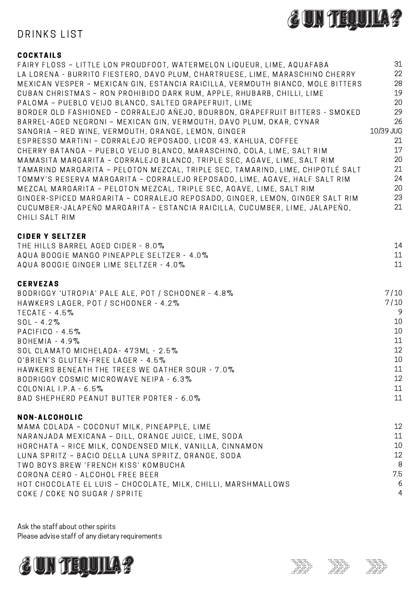

# DRINKS LIST

### **COCKTAILS**

| FAIRY FLOSS - LITTLE LON PROUDFOOT, WATERMELON LIQUEUR, LIME, AQUAFABA         | 31        |
|--------------------------------------------------------------------------------|-----------|
| LA LORENA - BURRITO FIESTERO, DAVO PLUM, CHARTRUESE, LIME, MARASCHINO CHERRY   | 22        |
| MEXICAN VESPER - MEXICAN GIN, ESTANCIA RAICILLA, VERMOUTH BIANCO, MOLE BITTERS | 28        |
| CUBAN CHRISTMAS - RON PROHIBIDO DARK RUM, APPLE, RHUBARB, CHILLI, LIME         | 19        |
| PALOMA - PUEBLO VEIJO BLANCO, SALTED GRAPEFRUIT, LIME                          | 20        |
| BORDER OLD FASHIONED - CORRALEJO AÑEJO, BOURBON, GRAPEFRUIT BITTERS - SMOKED   | 29        |
| BARREL-AGED NEGRONI - MEXICAN GIN, VERMOUTH, DAVO PLUM, OKAR, CYNAR            | 26        |
| SANGRIA - RED WINE, VERMOUTH, ORANGE, LEMON, GINGER                            | 10/39 JUG |
| ESPRESSO MARTINI - CORRALEJO REPOSADO, LICOR 43, KAHLUA, COFFEE                | 21        |
| CHERRY BATANGA - PUEBLO VEIJO BLANCO, MARASCHINO, COLA, LIME, SALT RIM         | 17        |
| MAMASITA MARGARITA - CORRALEJO BLANCO, TRIPLE SEC, AGAVE, LIME, SALT RIM       | 20        |
| TAMARIND MARGARITA - PELOTON MEZCAL, TRIPLE SEC, TAMARIND, LIME, CHIPOTLÉ SALT | 21        |
| TOMMY'S RESERVA MARGARITA - CORRALEJO REPOSADO, LIME, AGAVE, HALF SALT RIM     | 24        |
| MEZCAL MARGARITA - PELOTON MEZCAL, TRIPLE SEC, AGAVE, LIME, SALT RIM           | 20        |
| GINGER-SPICED MARGARITA - CORRALEJO REPOSADO, GINGER, LEMON, GINGER SALT RIM   | 23        |
| CUCUMBER-JALAPEÑO MARGARITA - ESTANCIA RAICILLA, CUCUMBER, LIME, JALAPEÑO,     | 21        |
| CHILI SALT RIM                                                                 |           |

#### **CIDER Y SELTZER**

| THE HILLS BARREL AGED CIDER - 8.0%                 | 14   |
|----------------------------------------------------|------|
| AQUA BOOGIE MANGO PINEAPPLE SELTZER - 4.0%         | 11   |
| AQUA BOOGIE GINGER LIME SELTZER - 4.0%             | 11   |
| <b>CERVEZAS</b>                                    |      |
| BODRIGGY 'UTROPIA' PALE ALE, POT / SCHOONER - 4.8% | 7/10 |
| HAWKERS LAGER, POT / SCHOONER - 4.2%               | 7/10 |
| $TECATE - 4.5\%$                                   | 9    |
| $SOL - 4.2\%$                                      | 10   |
| $PACIFICO - 4.5%$                                  | 10   |
| $BOHEMIA - 4.9\%$                                  | 11   |
| SOL CLAMATO MICHELADA - 473ML - 2.5%               | 12   |
| 0'BRIEN'S GLUTEN-FREE LAGER - 4.5%                 | 10   |
| HAWKERS BENEATH THE TREES WE GATHER SOUR - 7.0%    | 11   |
| BODRIGGY COSMIC MICROWAVE NEIPA - 6.3%             | 12   |
| COLONIAL I.P.A $-6.5\%$                            | 11   |
| BAD SHEPHERD PEANUT BUTTER PORTER - 6.0%           | 11   |
|                                                    |      |

#### NON-ALCOHOLIC

| MAMA COLADA - COCONUT MILK, PINEAPPLE, LIME                   | 12             |
|---------------------------------------------------------------|----------------|
| NARANJADA MEXICANA - DILL, ORANGE JUICE, LIME, SODA           | 11             |
| HORCHATA - RICE MILK, CONDENSED MILK, VANILLA, CINNAMON       | 10             |
| LUNA SPRITZ - BACIO DELLA LUNA SPRITZ, ORANGE, SODA           | 12             |
| TWO BOYS BREW 'FRENCH KISS' KOMBUCHA                          | -8             |
| CORONA CERO - ALCOHOL FREE BEER                               | 75             |
| HOT CHOCOLATE EL LUIS - CHOCOLATE, MILK, CHILLI, MARSHMALLOWS | -6             |
| COKE / COKE NO SUGAR / SPRITE                                 | $\overline{4}$ |
|                                                               |                |

Ask the staff about other spirits Please advise staff of any dietary requirements